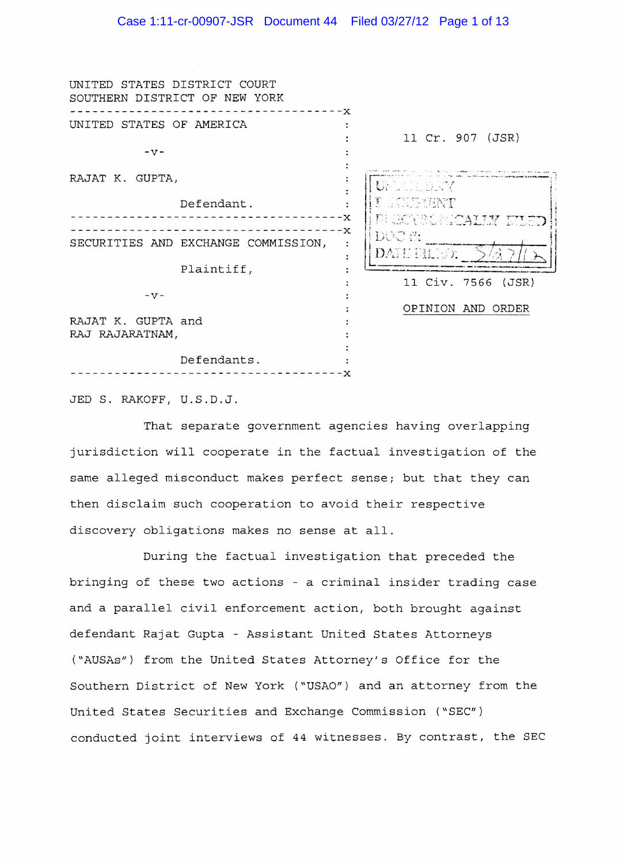| STATES DISTRICT COURT<br>UNITED<br>SOUTHERN DISTRICT OF NEW YORK | - - - - - - x |                                         |
|------------------------------------------------------------------|---------------|-----------------------------------------|
| UNITED STATES OF AMERICA                                         |               | 11 Cr. 907 (JSR)                        |
| $-V -$                                                           |               |                                         |
| RAJAT K. GUPTA,                                                  |               | Uruguaya                                |
|                                                                  | Defendant.    | Ţ.<br>E COURRENT<br>RHETHE SOCIETY WIRD |
| SECURITIES AND EXCHANGE COMMISSION,                              |               | DUSU SI<br>DATE FILED.                  |
|                                                                  | Plaintiff,    |                                         |
| $-V -$                                                           |               | 11 Civ. 7566 (JSR)                      |
| RAJAT K. GUPTA and<br>RAJ RAJARATNAM,                            |               | OPINION AND ORDER                       |
|                                                                  | Defendants.   |                                         |

JED S. RAKOFF, U.S.D.J.

That separate government agencies having overlapping jurisdiction will cooperate in the factual investigation of the same alleged misconduct makes perfect sense; but that they can then disclaim such cooperation to avoid their respective discovery obligations makes no sense at all.

During the factual investigation that preceded the bringing of these two actions - a criminal insider trading case and a parallel civil enforcement action, both brought against defendant Rajat Gupta - Assistant United States Attorneys ("AUSAs") from the United States Attorney/s Office for the Southern District of New York ("USAO") and an attorney from the United States Securities and Exchange Commission *("SEC")*  conducted joint interviews of 44 witnesses. By contrast, the SEC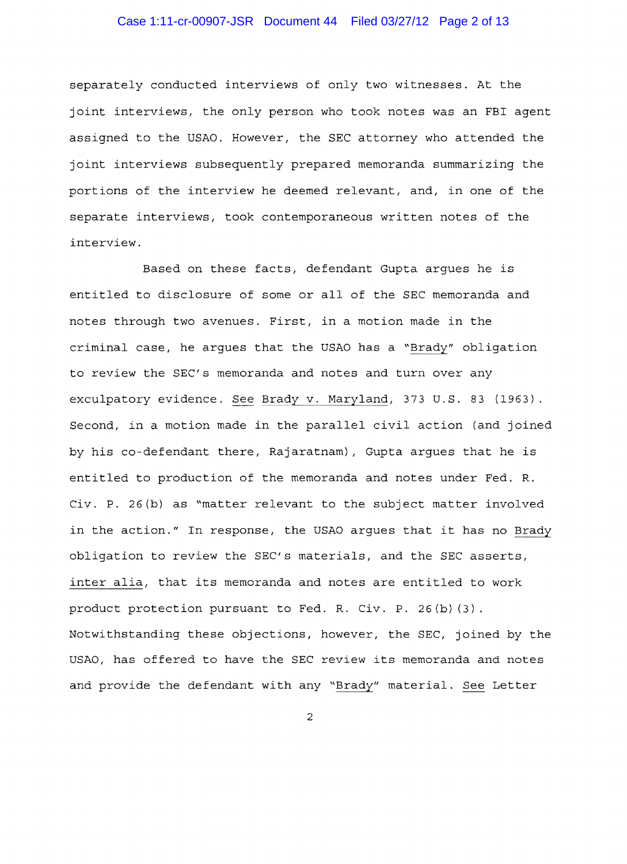## Case 1:11-cr-00907-JSR Document 44 Filed 03/27/12 Page 2 of 13

separately conducted interviews of only two witnesses. At the joint interviews, the only person who took notes was an FBI agent assigned to the USAO. However, the SEC attorney who attended the joint interviews subsequently prepared memoranda summarizing the portions of the interview he deemed relevant, and, in one of the separate interviews, took contemporaneous written notes of the interview.

Based on these facts, defendant Gupta argues he is entitled to disclosure of some or all of the SEC memoranda and notes through two avenues. First, in a motion made in the criminal case, he argues that the USAO has a "Brady" obligation to review the SEC's memoranda and notes and turn over any exculpatory evidence. See Brady v. Maryland, 373 U.S. 83 (1963). Second, in a motion made in the parallel civil action (and joined by his co-defendant there, Rajaratnam), Gupta argues that he is entitled to production of the memoranda and notes under Fed. R. Civ. P. 26(b) as "matter relevant to the subject matter involved in the action." In response, the USAO argues that it has no Brady obligation to review the SEC's materials, and the SEC asserts, inter alia, that its memoranda and notes are entitled to work product protection pursuant to Fed. R. Civ. P. 26(b) (3). Notwithstanding these objections, however, the SEC, joined by the USAO, has offered to have the SEC review its memoranda and notes and provide the defendant with any "Brady" material. See Letter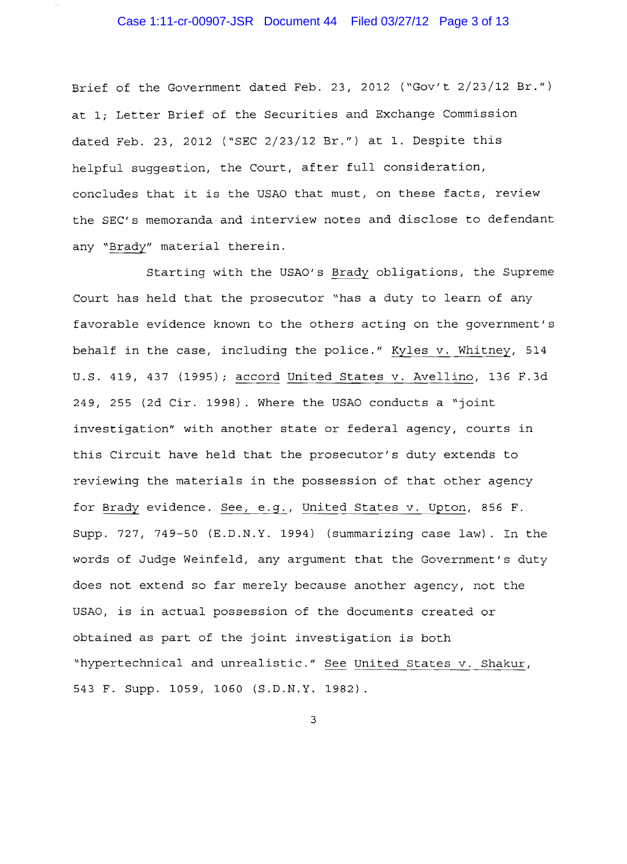Brief of the Government dated Feb. 23, 2012 ("Gov't 2/23/12 Br.") at 1; Letter Brief of the Securities and Exchange Commission dated Feb. 23, 2012 ("SEC 2/23/12 Br.") at 1. Despite this helpful suggestion, the Court, after full consideration, concludes that it is the USAO that must, on these facts, review the SEC's memoranda and interview notes and disclose to defendant any "Brady" material therein.

Starting with the USAO's Brady obligations, the Supreme Court has held that the prosecutor "has a duty to learn of any favorable evidence known to the others acting on the government's behalf in the case, including the police." Kyles v. Whitney, 514 U.S. 419, 437 (1995); accord United States v. Avellino, 136 F.3d *249 1* 255 (2d Cir. 1998). Where the USAO conducts a "joint investigation" with another state or federal agency, courts in this Circuit have held that the prosecutor's duty extends to reviewing the materials in the possession of that other agency for Brady evidence. See, e.g., United States v. Upton, 856 F. Supp. 727, 749-50 (E.D.N.Y. 1994) (summarizing case law). In the words of Judge Weinfeld, any argument that the Government/s duty does not extend so far merely because another agency, not the USAO, is in actual possession of the documents created or obtained as part of the joint investigation is both "hypertechnical and unrealistic." See United States v. Shakur, 543 F. Supp. 1059, 1060 (S.D.N.Y. 1982).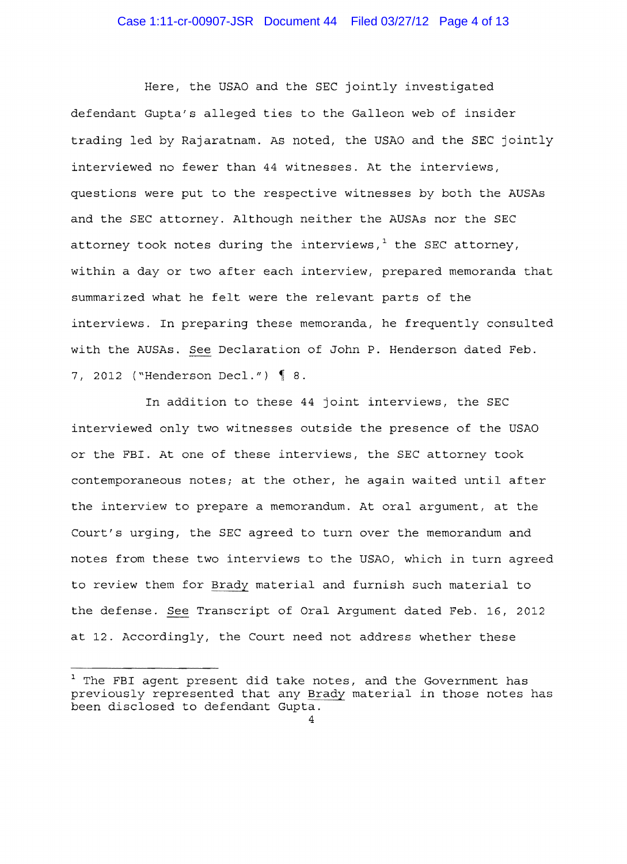# Case 1:11-cr-00907-JSR Document 44 Filed 03/27/12 Page 4 of 13

Here, the USAO and the SEC jointly investigated defendant Gupta's alleged ties to the Galleon web of insider trading led by Rajaratnam. As noted, the USAO and the SEC jointly interviewed no fewer than 44 witnesses. At the interviews, questions were put to the respective witnesses by both the AUSAs and the SEC attorney. Although neither the AUSAs nor the SEC attorney took notes during the interviews, $<sup>1</sup>$  the SEC attorney,</sup> within a day or two after each interview, prepared memoranda that summarized what he felt were the relevant parts of the interviews. In preparing these memoranda, he frequently consulted with the AUSAs. See Declaration of John P. Henderson dated Feb. 7, 2012 ("Henderson Decl.")  $\{ 8.$ 

In addition to these 44 joint interviews, the SEC interviewed only two witnesses outside the presence of the USAO or the FBI. At one of these interviews, the SEC attorney took contemporaneous notes; at the other, he again waited until after the interview to prepare a memorandum. At oral argument, at the Court's urging, the SEC agreed to turn over the memorandum and notes from these two interviews to the USAO, which in turn agreed to review them for Brady material and furnish such material to the defense. See Transcript of Oral Argument dated Feb. 16, 2012 at 12. Accordingly, the Court need not address whether these

 $1$  The FBI agent present did take notes, and the Government has previously represented that any Brady material in those notes has been disclosed to defendant Gupta.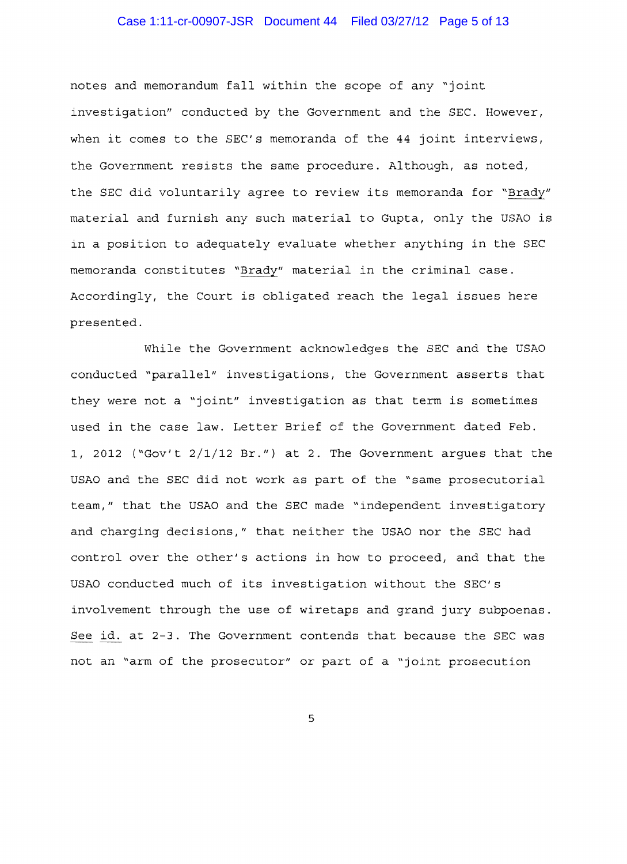## Case 1:11-cr-00907-JSR Document 44 Filed 03/27/12 Page 5 of 13

notes and memorandum fall within the scope of any "joint investigation" conducted by the Government and the SEC. However, when it comes to the SEC's memoranda of the 44 joint interviews, the Government resists the same procedure. Although, as noted, the SEC did voluntarily agree to review its memoranda for "Brady" material and furnish any such material to Gupta, only the USAO is in a position to adequately evaluate whether anything in the SEC memoranda constitutes "Brady" material in the criminal case. Accordingly, the Court is obligated reach the legal issues here presented.

While the Government acknowledges the SEC and the USAO conducted "parallel" investigations, the Government asserts that they were not a "joint" investigation as that term is sometimes used in the case law. Letter Brief of the Government dated Feb. 1, 2012 ("Gov't 2/1/12 Br.") at 2. The Government argues that the USAO and the SEC did not work as part of the "same prosecutorial team," that the USAO and the SEC made "independent investigatory and charging decisions," that neither the USAO nor the SEC had control over the other's actions in how to proceed, and that the USAO conducted much of its investigation without the SEC's involvement through the use of wiretaps and grand jury subpoenas. See id. at 2-3. The Government contends that because the SEC was not an "arm of the prosecutor" or part of a "joint prosecution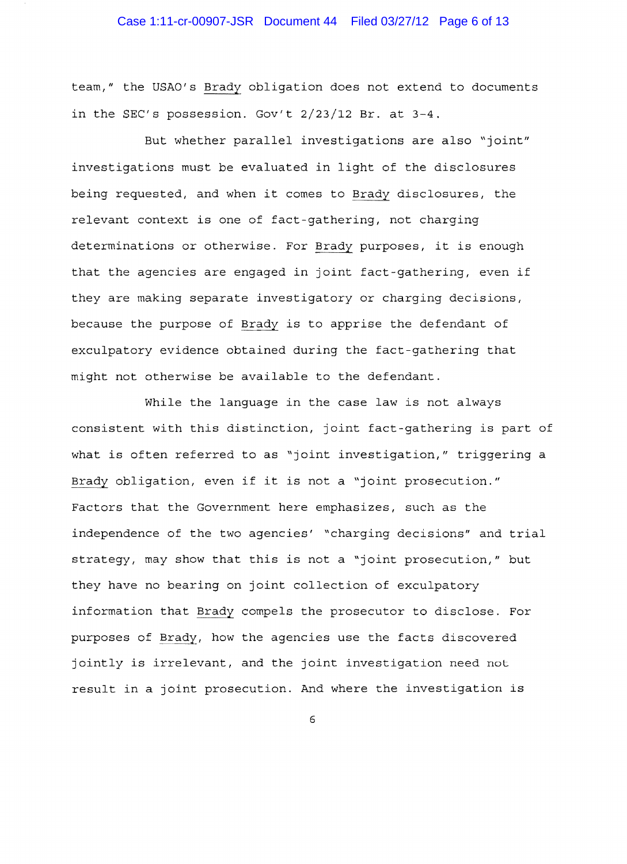## Case 1:11-cr-00907-JSR Document 44 Filed 03/27/12 Page 6 of 13

team," the USAO's Brady obligation does not extend to documents in the SEC's possession. Gov't 2/23/12 Br. at 3-4.

But whether parallel investigations are also "joint" investigations must be evaluated in light of the disclosures being requested, and when it comes to Brady disclosures, the relevant context is one of fact-gathering, not charging determinations or otherwise. For Brady purposes, it is enough that the agencies are engaged in joint fact-gathering, even if they are making separate investigatory or charging decisions, because the purpose of Brady is to apprise the defendant of exculpatory evidence obtained during the fact-gathering that might not otherwise be available to the defendant.

While the language in the case law is not always consistent with this distinction, joint fact-gathering is part of what is often referred to as "joint investigation," triggering a Brady obligation, even if it is not a "joint prosecution." Factors that the Government here emphasizes, such as the independence of the two agencies' "charging decisions" and trial strategy, may show that this is not a "joint prosecution," but they have no bearing on joint collection of exculpatory information that Brady compels the prosecutor to disclose. For purposes of Brady, how the agencies use the facts discovered jointly is irrelevant, and the joint investigation need not result in a joint prosecution. And where the investigation is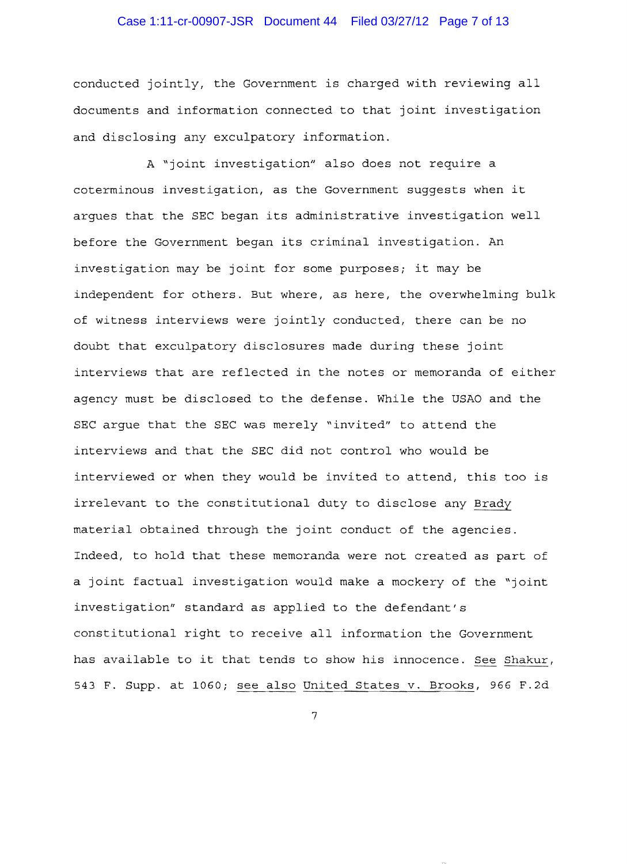## Case 1:11-cr-00907-JSR Document 44 Filed 03/27/12 Page 7 of 13

conducted jointly, the Government is charged with reviewing all documents and information connected to that joint investigation and disclosing any exculpatory information.

A "joint investigation" also does not require a coterminous investigation, as the Government suggests when it argues that the SEC began its administrative investigation well before the Government began its criminal investigation. An investigation may be joint for some purposes; it may be independent for others. But where, as here, the overwhelming bulk of witness interviews were jointly conducted, there can be no doubt that exculpatory disclosures made during these joint interviews that are reflected in the notes or memoranda of either agency must be disclosed to the defense. While the USAO and the SEC argue that the SEC was merely "invited" to attend the interviews and that the SEC did not control who would be interviewed or when they would be invited to attend, this too is irrelevant to the constitutional duty to disclose any Brady material obtained through the joint conduct of the agencies. Indeed, to hold that these memoranda were not created as part of a joint factual investigation would make a mockery of the "joint investigation" standard as applied to the defendant's constitutional right to receive all information the Government has available to it that tends to show his innocence. *See* Shakur, 543 F. Supp. at 1060; see also United States v. Brooks, 966 F.2d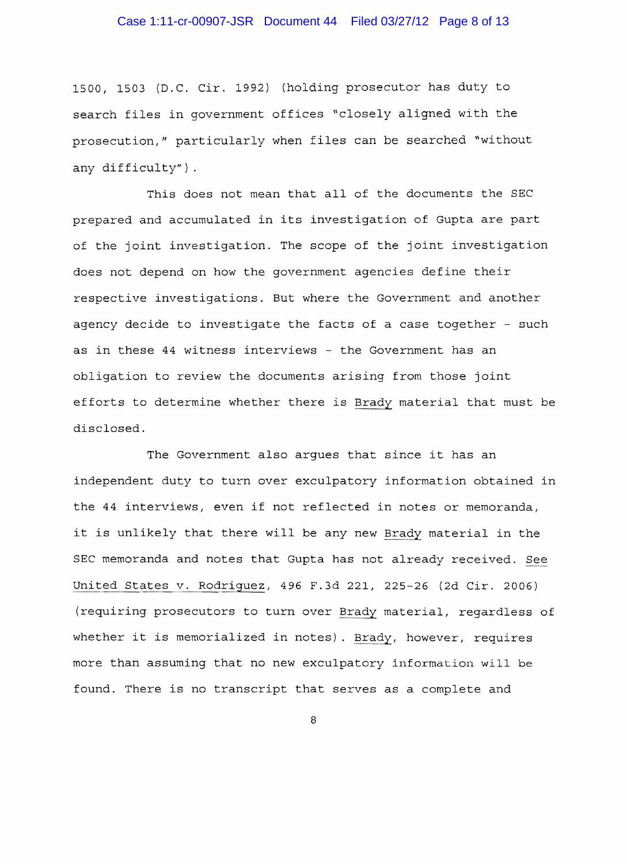## Case 1:11-cr-00907-JSR Document 44 Filed 03/27/12 Page 8 of 13

1500, 1503 (D.C. Cir. 1992) (holding prosecutor has duty to search files in government offices "closely aligned with the prosecution," particularly when files can be searched "without any difficulty") .

This does not mean that all of the documents the SEC prepared and accumulated in its investigation of Gupta are part of the joint investigation. The scope of the joint investigation does not depend on how the government agencies define their respective investigations. But where the Government and another agency decide to investigate the facts of a case together - such as in these 44 witness interviews - the Government has an obligation to review the documents arising from those joint efforts to determine whether there is Brady material that must be disclosed.

The Government also argues that since it has an independent duty to turn over exculpatory information obtained in the 44 interviews, even if not reflected in notes or memoranda, it is unlikely that there will be any new Brady material in the SEC memoranda and notes that Gupta has not already received. See United States v. Rodriguez, 496 F.3d 221, 225-26 (2d Cir. 2006) (requiring prosecutors to turn over Brady material, regardless of whether it is memorialized in notes). Brady, however, requires more than assuming that no new exculpatory information will be found. There is no transcript that serves as a complete and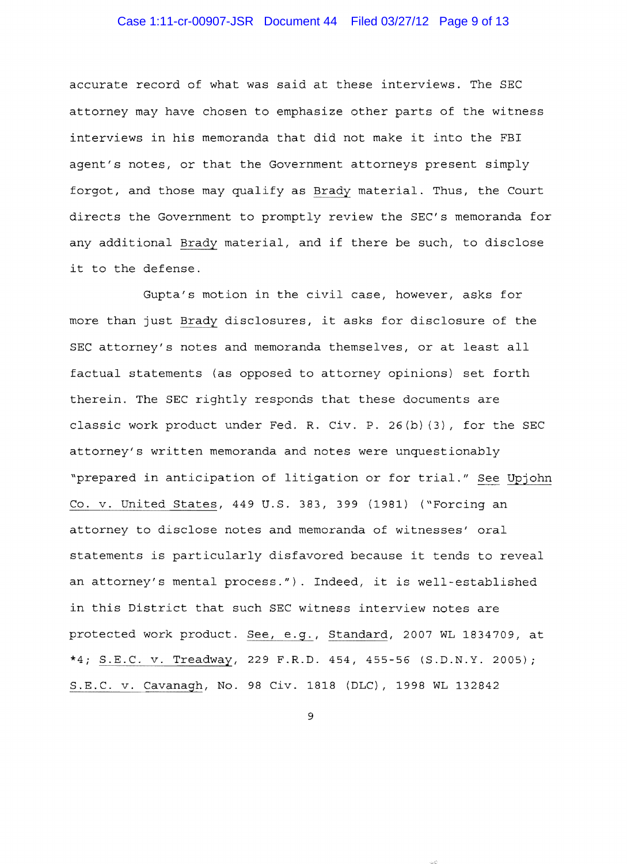## Case 1:11-cr-00907-JSR Document 44 Filed 03/27/12 Page 9 of 13

accurate record of what was said at these interviews. The SEC attorney may have chosen to emphasize other parts of the witness interviews in his memoranda that did not make it into the FBI agent's notes, or that the Government attorneys present simply forgot, and those may qualify as Brady material. Thus, the Court directs the Government to promptly review the SEC's memoranda for any additional Brady material, and if there be such, to disclose it to the defense.

Gupta's motion in the civil case, however, asks for more than just Brady disclosures, it asks for disclosure of the SEC attorney's notes and memoranda themselves, or at least all factual statements (as opposed to attorney opinions) set forth therein. The SEC rightly responds that these documents are classic work product under Fed. R. civ. P. 26(b) (3), for the SEC attorney's written memoranda and notes were unquestionably "prepared in anticipation of litigation or for trial." See Upjohn Co. v. United States, 449 U.S. 383, 399 (1981) ("Forcing an attorney to disclose notes and memoranda of witnesses' oral statements is particularly disfavored because it tends to reveal an attorney's mental process."). Indeed, it is well-established in this District that such SEC witness interview notes are protected work product. See, e.g., Standard, 2007 WL 1834709, at \*4; S.E.C. v. Treadway, 229 F.R.D. 454, 455-56 (S.D.N.Y. 2005); S.E.C. v. Cavanagh, No. 98 Civ. 1818 (DLC) , 1998 WL 132842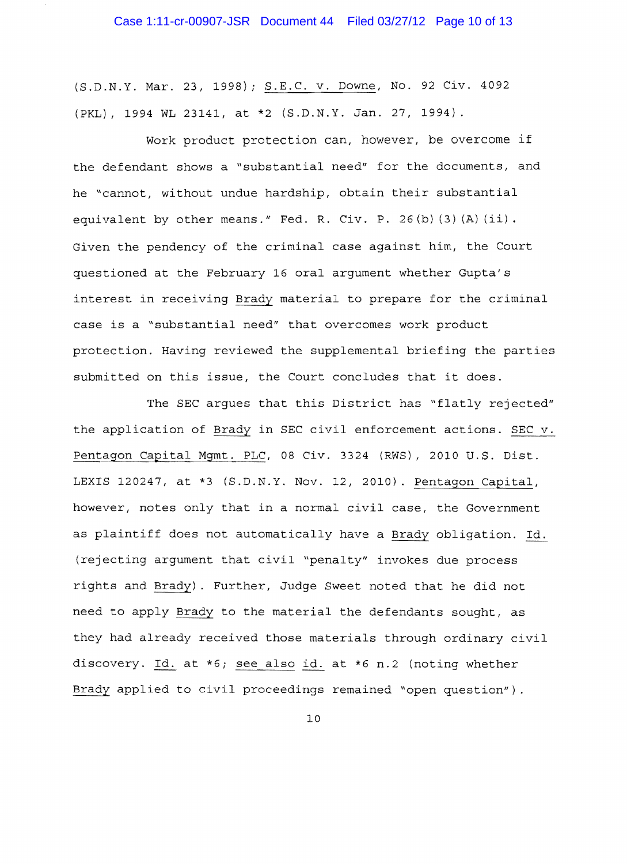(S.D.N.Y. Mar. 23, 1998); S.E.C. v. Downe, No. 92 Civ. 4092 (PKL) , 1994 WL 23141, at \*2 (S.D.N.Y. Jan. 27, 1994).

Work product protection can, however, be overcome if the defendant shows a "substantial need" for the documents, and he "cannot, without undue hardship, obtain their substantial equivalent by other means." Fed. R. Civ. P. 26(b) (3) (A) (ii). Given the pendency of the criminal case against him, the Court questioned at the February 16 oral argument whether Gupta's interest in receiving Brady material to prepare for the criminal case is a "substantial need" that overcomes work product protection. Having reviewed the supplemental briefing the parties submitted on this issue, the Court concludes that it does.

The SEC argues that this District has "flatly rejected" the application of Brady in SEC civil enforcement actions. SEC v. Pentagon Capital Mgmt. PLC, 08 Civ. 3324 (RWS), 2010 U.S. Dist. LEXIS 120247, at \*3 (S.D.N.Y. Nov. 12, 2010). Pentagon Capital, however, notes only that in a normal civil case, the Government as plaintiff does not automatically have a Brady obligation. Id. (rejecting argument that civil "penalty" invokes due process rights and Brady). Further, Judge Sweet noted that he did not need to apply Brady to the material the defendants sought, as they had already received those materials through ordinary civil discovery. Id. at \*6; see also id. at \*6 n.2 (noting whether Brady applied to civil proceedings remained "open question") .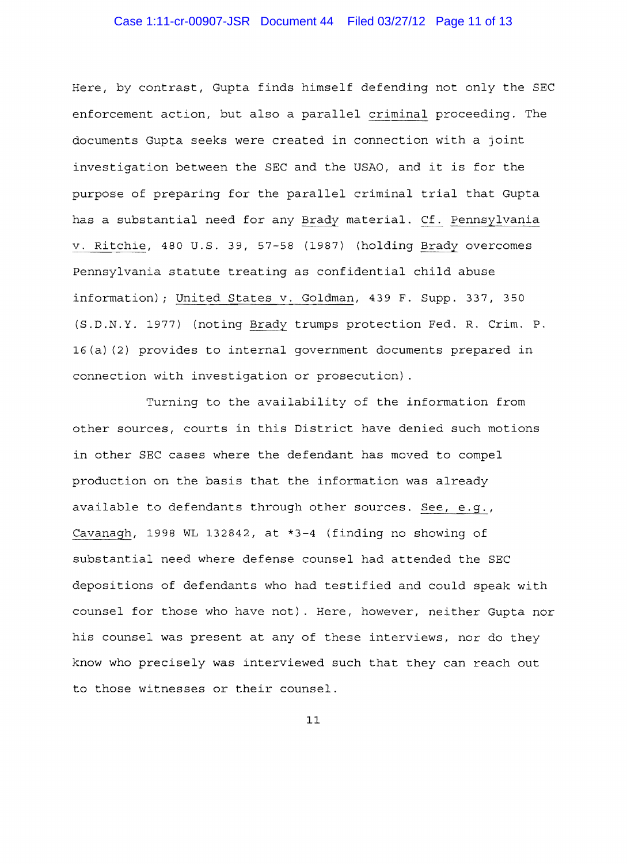## Case 1:11-cr-00907-JSR Document 44 Filed 03/27/12 Page 11 of 13

Here, by contrast, Gupta finds himself defending not only the SEC enforcement action, but also a parallel criminal proceeding. The documents Gupta seeks were created in connection with a joint investigation between the SEC and the USAO, and it is for the purpose of preparing for the parallel criminal trial that Gupta has a substantial need for any Brady material. Cf. Pennsylvania v. Ritchie, 480 U.S. 39, 57-58 (1987) (holding Brady overcomes Pennsylvania statute treating as confidential child abuse information); United States v. Goldman, 439 F. Supp. 337, 350 (S.D.N.Y. 1977) (noting Brady trumps protection Fed. R. Crim. P. 16(a) (2) provides to internal government documents prepared in connection with investigation or prosecution) .

Turning to the availability of the information from other sources, courts in this District have denied such motions in other SEC cases where the defendant has moved to compel production on the basis that the information was already available to defendants through other sources. See, e.g., Cavanagh, 1998 WL 132842, at \*3-4 (finding no showing of substantial need where defense counsel had attended the SEC depositions of defendants who had testified and could speak with counsel for those who have not). Here, however, neither Gupta nor his counsel was present at any of these interviews, nor do they know who precisely was interviewed such that they can reach out to those witnesses or their counsel.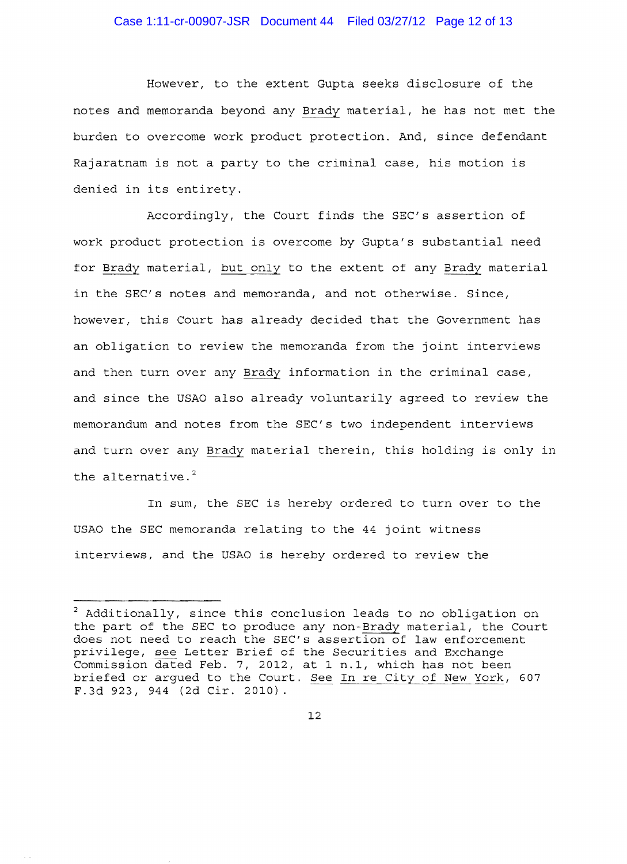#### Case 1:11-cr-00907-JSR Document 44 Filed 03/27/12 Page 12 of 13

However, to the extent Gupta seeks disclosure of the notes and memoranda beyond any Brady material, he has not met the burden to overcome work product protection. And, since defendant Rajaratnam is not a party to the criminal case, his motion is denied in its entirety.

Accordingly, the Court finds the SEC's assertion of work product protection is overcome by Gupta's substantial need for Brady material, but only to the extent of any Brady material in the SEC's notes and memoranda, and not otherwise. Since, however, this Court has already decided that the Government has an obligation to review the memoranda from the joint interviews and then turn over any Brady information in the criminal case, and since the USAO also already voluntarily agreed to review the memorandum and notes from the SEC's two independent interviews and turn over any Brady material therein, this holding is only in the alternative.<sup>2</sup>

In sum, the SEC is hereby ordered to turn over to the USAO the SEC memoranda relating to the 44 joint witness interviews, and the USAO is hereby ordered to review the

 $2$  Additionally, since this conclusion leads to no obligation on the part of the SEC to produce any non-Brady material, the Court does not need to reach the SEC's assertion of law enforcement privilege, see Letter Brief of the Securities and Exchange Commission dated Feb. 7, 2012, at 1 n.1, which has not been briefed or argued to the Court. See In re City of New York, 607 F.3d 923, 944 (2d Cir. 2010).